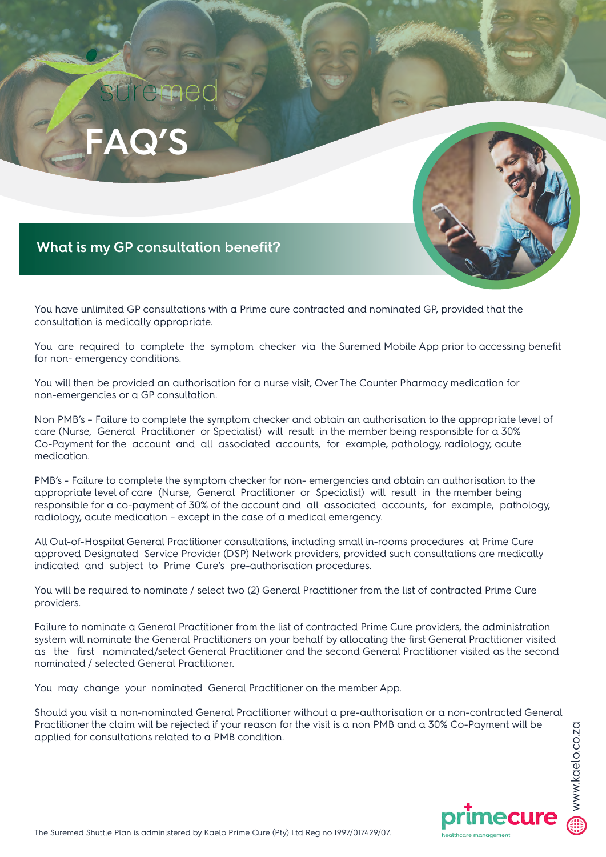



## **What is my GP consultation benefit?**

You have unlimited GP consultations with a Prime cure contracted and nominated GP, provided that the consultation is medically appropriate.

You are required to complete the symptom checker via the Suremed Mobile App prior to accessing benefit for non- emergency conditions.

You will then be provided an authorisation for a nurse visit, Over The Counter Pharmacy medication for non-emergencies or a GP consultation.

boundary unimited GP consultations with a Prime cure contracted and nominated GP, provided that the positivation is medically appropriate. <br>Bould are required to complete the symptom checker via the Suremed Mobile App prio Non PMB's – Failure to complete the symptom checker and obtain an authorisation to the appropriate level of care (Nurse, General Practitioner or Specialist) will result in the member being responsible for a 30% Co-Payment for the account and all associated accounts, for example, pathology, radiology, acute medication.

PMB's - Failure to complete the symptom checker for non- emergencies and obtain an authorisation to the appropriate level of care (Nurse, General Practitioner or Specialist) will result in the member being responsible for a co-payment of 30% of the account and all associated accounts, for example, pathology, radiology, acute medication – except in the case of a medical emergency.

All Out-of-Hospital General Practitioner consultations, including small in-rooms procedures at Prime Cure approved Designated Service Provider (DSP) Network providers, provided such consultations are medically indicated and subject to Prime Cure's pre-authorisation procedures.

You will be required to nominate / select two (2) General Practitioner from the list of contracted Prime Cure providers.

Failure to nominate a General Practitioner from the list of contracted Prime Cure providers, the administration system will nominate the General Practitioners on your behalf by allocating the first General Practitioner visited as the first nominated/select General Practitioner and the second General Practitioner visited as the second nominated / selected General Practitioner.

You may change your nominated General Practitioner on the member App.

Should you visit a non-nominated General Practitioner without a pre-authorisation or a non-contracted General Practitioner the claim will be rejected if your reason for the visit is a non PMB and a 30% Co-Payment will be applied for consultations related to a PMB condition.

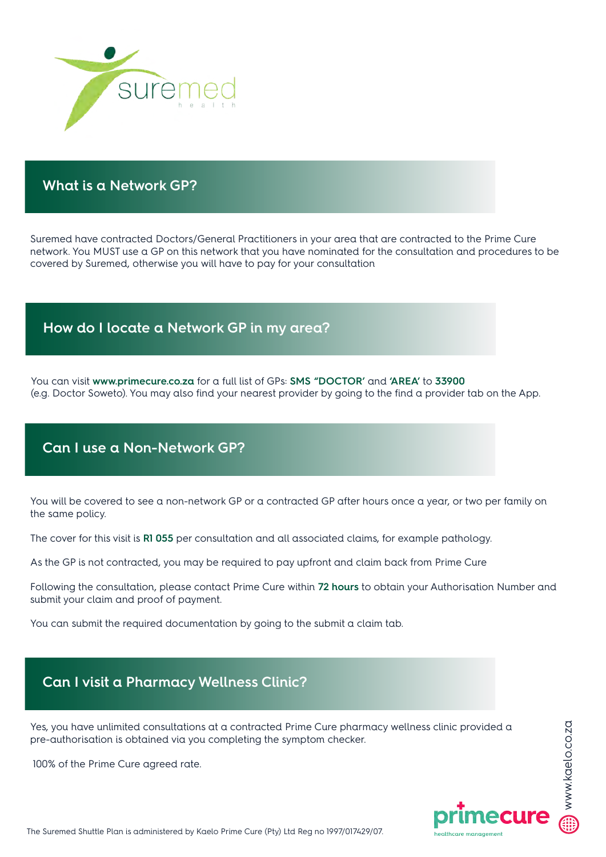

## **What is a Network GP?**

Suremed have contracted Doctors/General Practitioners in your area that are contracted to the Prime Cure network. You MUST use a GP on this network that you have nominated for the consultation and procedures to be covered by Suremed, otherwise you will have to pay for your consultation

## **How do I locate a Network GP in my area?**

You can visit **www.primecure.co.za** for a full list of GPs: **SMS "DOCTOR'** and **'AREA'** to **33900** (e.g. Doctor Soweto). You may also find your nearest provider by going to the find a provider tab on the App.

## **Can I use a Non-Network GP?**

You will be covered to see a non-network GP or a contracted GP after hours once a year, or two per family on the same policy.

The cover for this visit is **R1 055** per consultation and all associated claims, for example pathology.

As the GP is not contracted, you may be required to pay upfront and claim back from Prime Cure

Following the consultation, please contact Prime Cure within **72 hours** to obtain your Authorisation Number and submit your claim and proof of payment.

You can submit the required documentation by going to the submit a claim tab.

## **Can I visit a Pharmacy Wellness Clinic?**

Yes, you have unlimited consultations at a contracted Prime Cure pharmacy wellness clinic provided a pre-authorisation is obtained via you completing the symptom checker.

100% of the Prime Cure agreed rate.

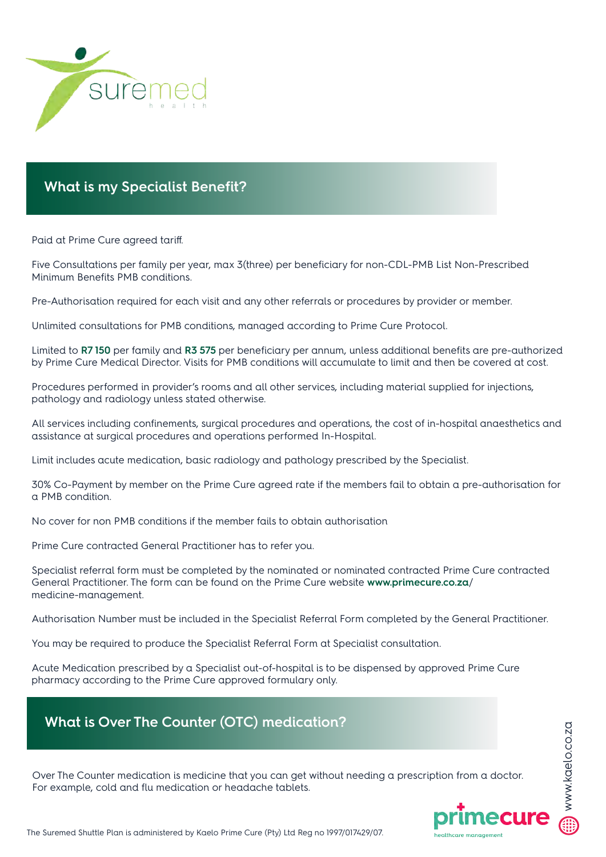

## **What is my Specialist Benefit?**

Paid at Prime Cure agreed tariff.

Five Consultations per family per year, max 3(three) per beneficiary for non-CDL-PMB List Non-Prescribed Minimum Benefits PMB conditions.

Pre-Authorisation required for each visit and any other referrals or procedures by provider or member.

Unlimited consultations for PMB conditions, managed according to Prime Cure Protocol.

Limited to **R7 150** per family and **R3 575** per beneficiary per annum, unless additional benefits are pre-authorized by Prime Cure Medical Director. Visits for PMB conditions will accumulate to limit and then be covered at cost.

Procedures performed in provider's rooms and all other services, including material supplied for injections, pathology and radiology unless stated otherwise.

All services including confinements, surgical procedures and operations, the cost of in-hospital anaesthetics and assistance at surgical procedures and operations performed In-Hospital.

Limit includes acute medication, basic radiology and pathology prescribed by the Specialist.

30% Co-Payment by member on the Prime Cure agreed rate if the members fail to obtain a pre-authorisation for a PMB condition.

No cover for non PMB conditions if the member fails to obtain authorisation

Prime Cure contracted General Practitioner has to refer you.

Specialist referral form must be completed by the nominated or nominated contracted Prime Cure contracted General Practitioner. The form can be found on the Prime Cure website **www.primecure.co.za**/ medicine-management.

Authorisation Number must be included in the Specialist Referral Form completed by the General Practitioner.

You may be required to produce the Specialist Referral Form at Specialist consultation.

Acute Medication prescribed by a Specialist out-of-hospital is to be dispensed by approved Prime Cure pharmacy according to the Prime Cure approved formulary only.

# **What is Over The Counter (OTC) medication?**

Over The Counter medication is medicine that you can get without needing a prescription from a doctor. For example, cold and flu medication or headache tablets.

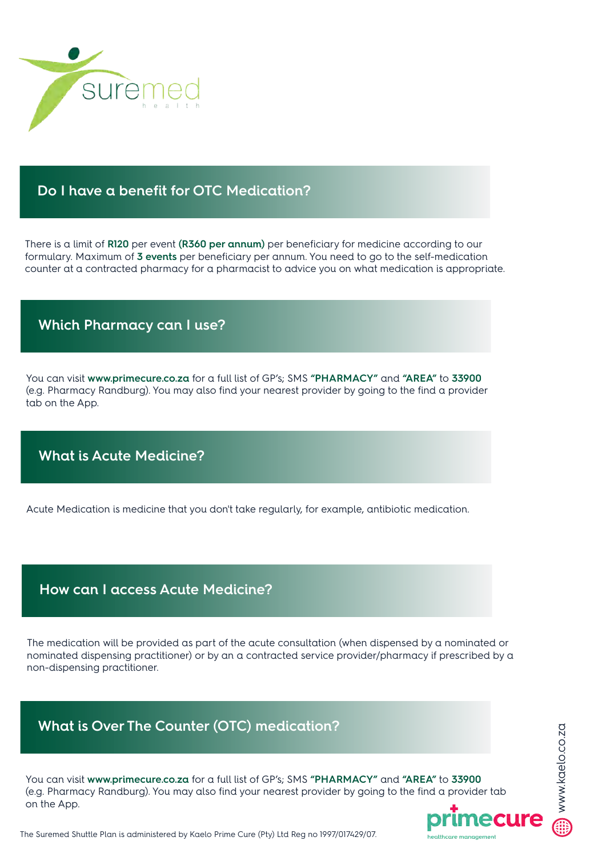

#### **Do I have a benefit for OTC Medication?**

There is a limit of **R120** per event **(R360 per annum)** per beneficiary for medicine according to our formulary. Maximum of **3 events** per beneficiary per annum. You need to go to the self-medication counter at a contracted pharmacy for a pharmacist to advice you on what medication is appropriate.

#### **Which Pharmacy can I use?**

You can visit **www.primecure.co.za** for a full list of GP's; SMS **"PHARMACY"** and **"AREA"** to **33900** (e.g. Pharmacy Randburg). You may also find your nearest provider by going to the find a provider tab on the App.

## **What is Acute Medicine?**

Acute Medication is medicine that you don't take regularly, for example, antibiotic medication.

#### **How can I access Acute Medicine?**

The medication will be provided as part of the acute consultation (when dispensed by a nominated or nominated dispensing practitioner) or by an a contracted service provider/pharmacy if prescribed by a non-dispensing practitioner.

## **What is Over The Counter (OTC) medication?**

You can visit **www.primecure.co.za** for a full list of GP's; SMS **"PHARMACY"** and **"AREA"** to **33900** (e.g. Pharmacy Randburg). You may also find your nearest provider by going to the find a provider tab on the App.

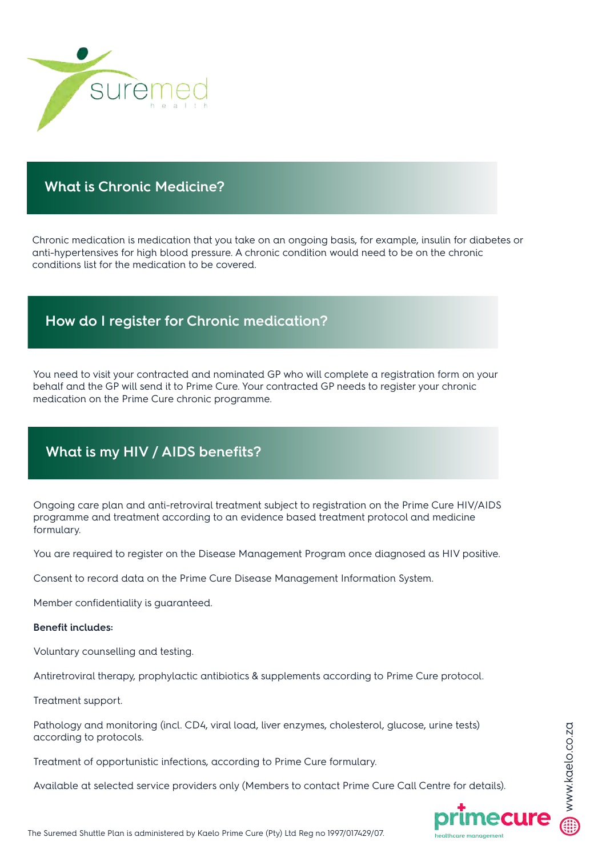

## **What is Chronic Medicine?**

Chronic medication is medication that you take on an ongoing basis, for example, insulin for diabetes or anti-hypertensives for high blood pressure. A chronic condition would need to be on the chronic conditions list for the medication to be covered.

## **How do I register for Chronic medication?**

You need to visit your contracted and nominated GP who will complete a registration form on your behalf and the GP will send it to Prime Cure. Your contracted GP needs to register your chronic medication on the Prime Cure chronic programme.

# **What is my HIV / AIDS benefits?**

Ongoing care plan and anti-retroviral treatment subject to registration on the Prime Cure HIV/AIDS programme and treatment according to an evidence based treatment protocol and medicine formulary.

You are required to register on the Disease Management Program once diagnosed as HIV positive.

Consent to record data on the Prime Cure Disease Management Information System.

Member confidentiality is guaranteed.

#### **Benefit includes:**

Voluntary counselling and testing.

Antiretroviral therapy, prophylactic antibiotics & supplements according to Prime Cure protocol.

Treatment support.

Pathology and monitoring (incl. CD4, viral load, liver enzymes, cholesterol, glucose, urine tests) according to protocols.

Treatment of opportunistic infections, according to Prime Cure formulary.

Available at selected service providers only (Members to contact Prime Cure Call Centre for details).

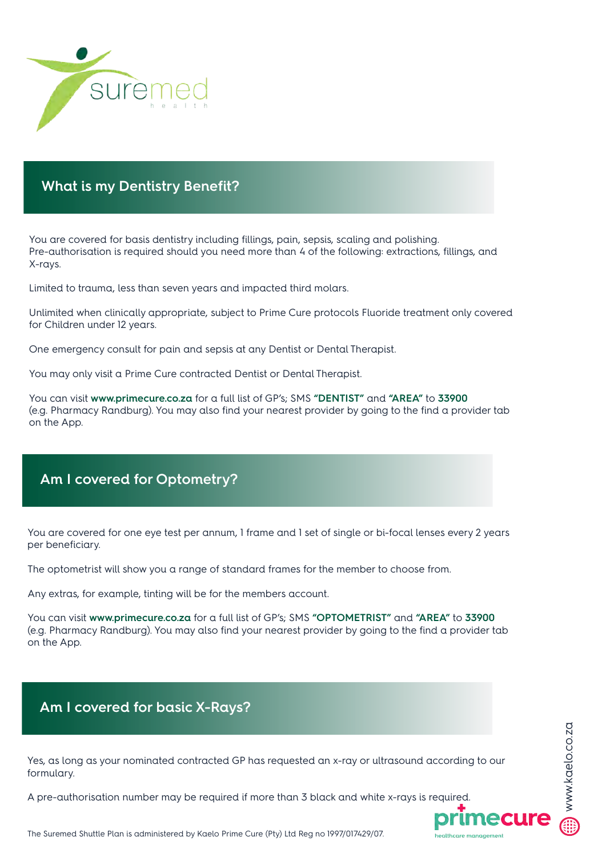

## **What is my Dentistry Benefit?**

You are covered for basis dentistry including fillings, pain, sepsis, scaling and polishing. Pre-authorisation is required should you need more than 4 of the following: extractions, fillings, and X-rays.

Limited to trauma, less than seven years and impacted third molars.

Unlimited when clinically appropriate, subject to Prime Cure protocols Fluoride treatment only covered for Children under 12 years.

One emergency consult for pain and sepsis at any Dentist or Dental Therapist.

You may only visit a Prime Cure contracted Dentist or Dental Therapist.

You can visit **www.primecure.co.za** for a full list of GP's; SMS **"DENTIST"** and **"AREA"** to **33900** (e.g. Pharmacy Randburg). You may also find your nearest provider by going to the find a provider tab on the App.

## **Am I covered for Optometry?**

You are covered for one eye test per annum, 1 frame and 1 set of single or bi-focal lenses every 2 years per beneficiary.

The optometrist will show you a range of standard frames for the member to choose from.

Any extras, for example, tinting will be for the members account.

You can visit **www.primecure.co.za** for a full list of GP's; SMS **"OPTOMETRIST"** and **"AREA"** to **33900** (e.g. Pharmacy Randburg). You may also find your nearest provider by going to the find a provider tab on the App.

## **Am I covered for basic X-Rays?**

Yes, as long as your nominated contracted GP has requested an x-ray or ultrasound according to our formulary.

A pre-authorisation number may be required if more than 3 black and white x-rays is required.



www.kaelo.co.za

www.kaelo.co.za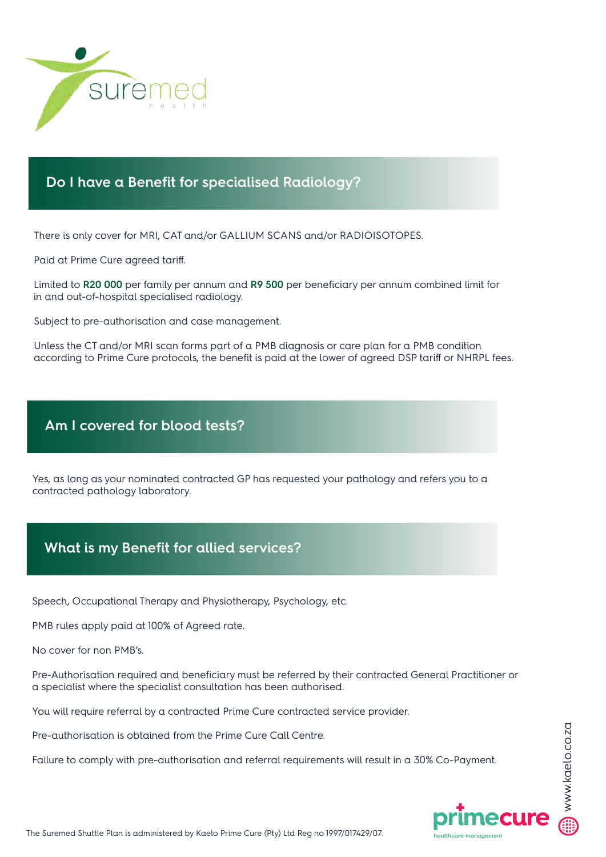

#### **Do I have a Benefit for specialised Radiology?**

There is only cover for MRI, CAT and/or GALLIUM SCANS and/or RADIOISOTOPES.

Paid at Prime Cure agreed tariff.

Limited to **R20 000** per family per annum and **R9 500** per beneficiary per annum combined limit for in and out-of-hospital specialised radiology.

Subject to pre-authorisation and case management.

Unless the CT and/or MRI scan forms part of a PMB diagnosis or care plan for a PMB condition according to Prime Cure protocols, the benefit is paid at the lower of agreed DSP tariff or NHRPL fees.

## **Am I covered for blood tests?**

Yes, as long as your nominated contracted GP has requested your pathology and refers you to a contracted pathology laboratory.

## **What is my Benefit for allied services?**

Speech, Occupational Therapy and Physiotherapy, Psychology, etc.

PMB rules apply paid at 100% of Agreed rate.

No cover for non PMB's.

Pre-Authorisation required and beneficiary must be referred by their contracted General Practitioner or a specialist where the specialist consultation has been authorised.

You will require referral by a contracted Prime Cure contracted service provider.

Pre-authorisation is obtained from the Prime Cure Call Centre.

Failure to comply with pre-authorisation and referral requirements will result in a 30% Co-Payment.

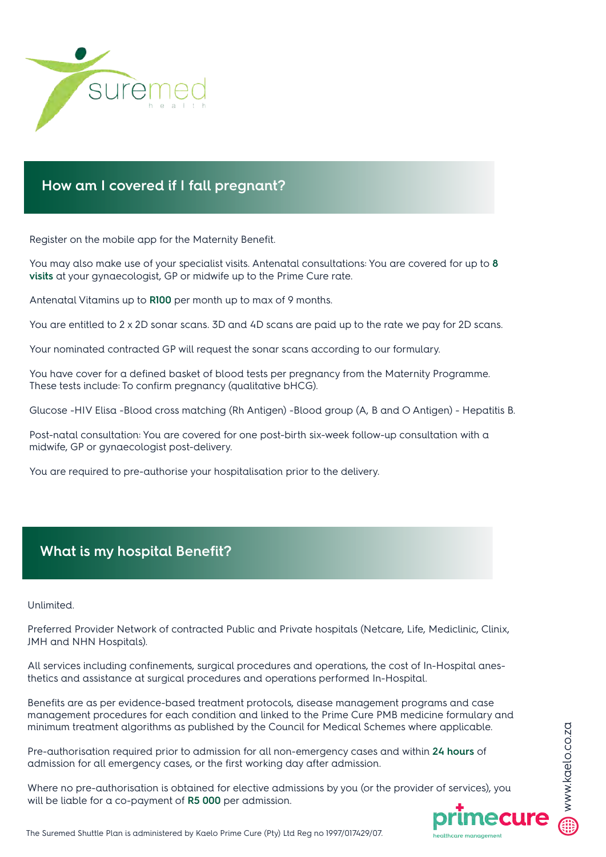

## **How am I covered if I fall pregnant?**

Register on the mobile app for the Maternity Benefit.

You may also make use of your specialist visits. Antenatal consultations: You are covered for up to **8 visits** at your gynaecologist, GP or midwife up to the Prime Cure rate.

Antenatal Vitamins up to **R100** per month up to max of 9 months.

You are entitled to 2 x 2D sonar scans. 3D and 4D scans are paid up to the rate we pay for 2D scans.

Your nominated contracted GP will request the sonar scans according to our formulary.

You have cover for a defined basket of blood tests per pregnancy from the Maternity Programme. These tests include: To confirm pregnancy (qualitative bHCG).

Glucose -HIV Elisa -Blood cross matching (Rh Antigen) -Blood group (A, B and O Antigen) - Hepatitis B.

Post-natal consultation: You are covered for one post-birth six-week follow-up consultation with a midwife, GP or gynaecologist post-delivery.

You are required to pre-authorise your hospitalisation prior to the delivery.

## **What is my hospital Benefit?**

Unlimited.

Preferred Provider Network of contracted Public and Private hospitals (Netcare, Life, Mediclinic, Clinix, JMH and NHN Hospitals).

All services including confinements, surgical procedures and operations, the cost of In-Hospital anesthetics and assistance at surgical procedures and operations performed In-Hospital.

Benefits are as per evidence-based treatment protocols, disease management programs and case management procedures for each condition and linked to the Prime Cure PMB medicine formulary and minimum treatment algorithms as published by the Council for Medical Schemes where applicable.

Pre-authorisation required prior to admission for all non-emergency cases and within **24 hours** of admission for all emergency cases, or the first working day after admission.

Where no pre-authorisation is obtained for elective admissions by you (or the provider of services), you will be liable for a co-payment of **R5 000** per admission.

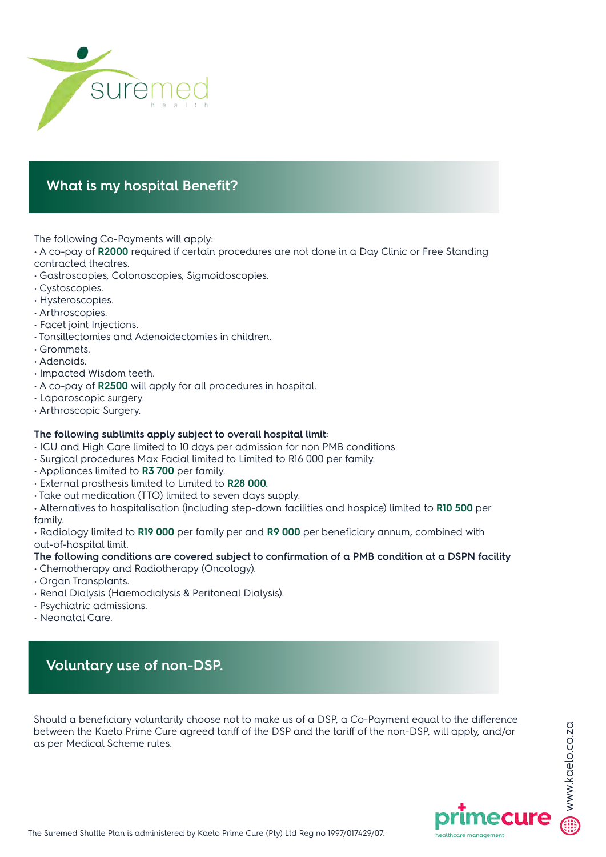

# **What is my hospital Benefit?**

The following Co-Payments will apply:

- A co-pay of **R2000** required if certain procedures are not done in a Day Clinic or Free Standing contracted theatres.
- Gastroscopies, Colonoscopies, Sigmoidoscopies.
- Cystoscopies.
- Hysteroscopies.
- Arthroscopies.
- Facet joint Injections.
- Tonsillectomies and Adenoidectomies in children.
- Grommets.
- Adenoids.
- Impacted Wisdom teeth.
- A co-pay of **R2500** will apply for all procedures in hospital.
- Laparoscopic surgery.
- Arthroscopic Surgery.

#### **The following sublimits apply subject to overall hospital limit:**

- ICU and High Care limited to 10 days per admission for non PMB conditions
- Surgical procedures Max Facial limited to Limited to R16 000 per family.
- Appliances limited to **R3 700** per family.
- External prosthesis limited to Limited to **R28 000.**
- Take out medication (TTO) limited to seven days supply.

• Alternatives to hospitalisation (including step-down facilities and hospice) limited to **R10 500** per family.

• Radiology limited to **R19 000** per family per and **R9 000** per beneficiary annum, combined with out-of-hospital limit.

#### **The following conditions are covered subject to confirmation of a PMB condition at a DSPN facility**

- Chemotherapy and Radiotherapy (Oncology).
- Organ Transplants.
- Renal Dialysis (Haemodialysis & Peritoneal Dialysis).
- Psychiatric admissions.
- Neonatal Care.

# **Voluntary use of non-DSP.**

Should a beneficiary voluntarily choose not to make us of a DSP, a Co-Payment equal to the difference between the Kaelo Prime Cure agreed tariff of the DSP and the tariff of the non-DSP, will apply, and/or as per Medical Scheme rules.